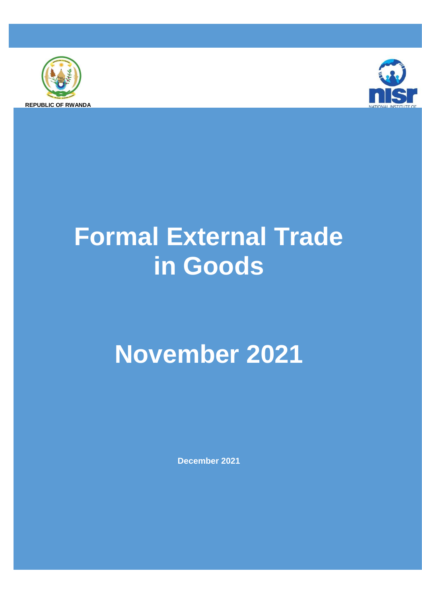



# **Formal External Trade in Goods**

## **November 2021**

**December 2021**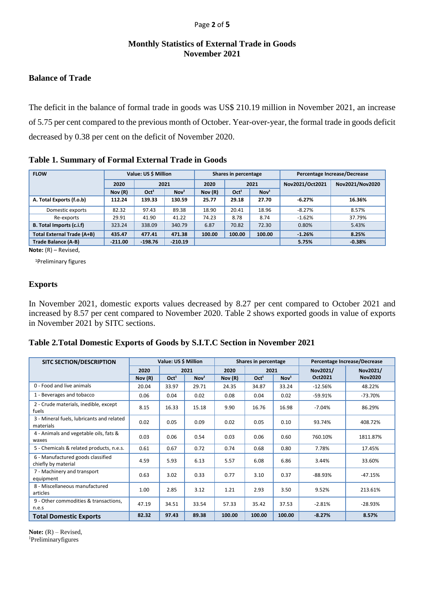#### Page **2** of **5**

#### **Monthly Statistics of External Trade in Goods November 2021**

#### **Balance of Trade**

The deficit in the balance of formal trade in goods was US\$ 210.19 million in November 2021, an increase of 5.75 per cent compared to the previous month of October. Year-over-year, the formal trade in goods deficit decreased by 0.38 per cent on the deficit of November 2020.

**Table 1. Summary of Formal External Trade in Goods** 

| <b>FLOW</b>                     | Value: US \$ Million |                  |                  |        | Shares in percentage                 |        | Percentage Increase/Decrease |                 |  |
|---------------------------------|----------------------|------------------|------------------|--------|--------------------------------------|--------|------------------------------|-----------------|--|
|                                 | 2020                 | 2021             |                  | 2020   | 2021                                 |        | Nov2021/Oct2021              | Nov2021/Nov2020 |  |
|                                 | Nov(R)               | Oct <sup>1</sup> | Nov <sup>1</sup> | Nov(R) | Nov <sup>1</sup><br>Oct <sup>1</sup> |        |                              |                 |  |
| A. Total Exports (f.o.b)        | 112.24               | 139.33           | 130.59           | 25.77  | 29.18                                | 27.70  | $-6.27%$                     | 16.36%          |  |
| Domestic exports                | 82.32                | 97.43            | 89.38            | 18.90  | 20.41                                | 18.96  | $-8.27%$                     | 8.57%           |  |
| Re-exports                      | 29.91                | 41.90            | 41.22            | 74.23  | 8.78                                 | 8.74   | $-1.62%$                     | 37.79%          |  |
| <b>B.</b> Total Imports (c.i.f) | 323.24               | 338.09           | 340.79           | 6.87   | 70.82                                | 72.30  | 0.80%                        | 5.43%           |  |
| Total External Trade (A+B)      | 435.47               | 477.41           | 471.38           | 100.00 | 100.00                               | 100.00 | $-1.26%$                     | 8.25%           |  |
| Trade Balance (A-B)             | $-211.00$            | $-198.76$        | $-210.19$        |        |                                      |        | 5.75%                        | $-0.38%$        |  |

**Note:** (R) – Revised,

<sup>1</sup>Preliminary figures

#### **Exports**

In November 2021, domestic exports values decreased by 8.27 per cent compared to October 2021 and increased by 8.57 per cent compared to November 2020. Table 2 shows exported goods in value of exports in November 2021 by SITC sections.

| Table 2. Total Domestic Exports of Goods by S.I.T.C Section in November 2021 |  |  |  |
|------------------------------------------------------------------------------|--|--|--|
|                                                                              |  |  |  |

| <b>SITC SECTION/DESCRIPTION</b>                          | Value: US \$ Million |                  |                  |         | Shares in percentage |                  |           | Percentage Increase/Decrease |
|----------------------------------------------------------|----------------------|------------------|------------------|---------|----------------------|------------------|-----------|------------------------------|
|                                                          | 2020                 |                  | 2021             | 2020    | 2021                 |                  | Nov2021/  | Nov2021/                     |
|                                                          | Nov(R)               | Oct <sup>1</sup> | Nov <sup>1</sup> | Nov (R) | Oct <sup>1</sup>     | Nov <sup>1</sup> | Oct2021   | <b>Nov2020</b>               |
| 0 - Food and live animals                                | 20.04                | 33.97            | 29.71            | 24.35   | 34.87                | 33.24            | $-12.56%$ | 48.22%                       |
| 1 - Beverages and tobacco                                | 0.06                 | 0.04             | 0.02             | 0.08    | 0.04                 | 0.02             | $-59.91%$ | $-73.70%$                    |
| 2 - Crude materials, inedible, except<br>fuels           | 8.15                 | 16.33            | 15.18            | 9.90    | 16.76                | 16.98            | $-7.04%$  | 86.29%                       |
| 3 - Mineral fuels, lubricants and related<br>materials   | 0.02                 | 0.05             | 0.09             | 0.02    | 0.05                 | 0.10             | 93.74%    | 408.72%                      |
| 4 - Animals and vegetable oils, fats &<br>waxes          | 0.03                 | 0.06             | 0.54             | 0.03    | 0.06                 | 0.60             | 760.10%   | 1811.87%                     |
| 5 - Chemicals & related products, n.e.s.                 | 0.61                 | 0.67             | 0.72             | 0.74    | 0.68                 | 0.80             | 7.78%     | 17.45%                       |
| 6 - Manufactured goods classified<br>chiefly by material | 4.59                 | 5.93             | 6.13             | 5.57    | 6.08                 | 6.86             | 3.44%     | 33.60%                       |
| 7 - Machinery and transport<br>equipment                 | 0.63                 | 3.02             | 0.33             | 0.77    | 3.10                 | 0.37             | $-88.93%$ | $-47.15%$                    |
| 8 - Miscellaneous manufactured<br>articles               | 1.00                 | 2.85             | 3.12             | 1.21    | 2.93                 | 3.50             | 9.52%     | 213.61%                      |
| 9 - Other commodities & transactions,<br>n.e.s           | 47.19                | 34.51            | 33.54            | 57.33   | 35.42                | 37.53            | $-2.81%$  | -28.93%                      |
| <b>Total Domestic Exports</b>                            | 82.32                | 97.43            | 89.38            | 100.00  | 100.00               | 100.00           | $-8.27%$  | 8.57%                        |

Note:  $(R)$  – Revised, 1Preliminaryfigures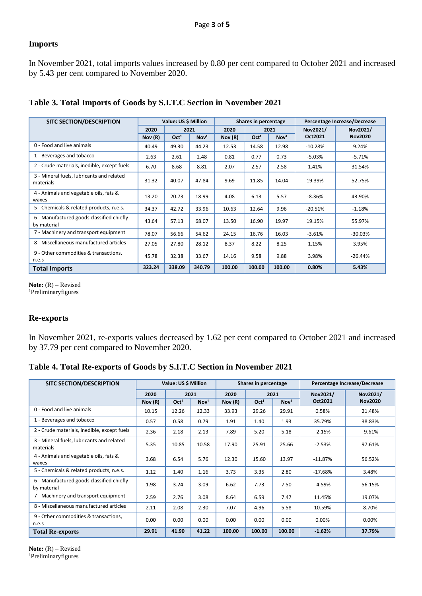#### **Imports**

In November 2021, total imports values increased by 0.80 per cent compared to October 2021 and increased by 5.43 per cent compared to November 2020.

| <b>SITC SECTION/DESCRIPTION</b>                          |        | Value: US \$ Million |                  |        | Shares in percentage |                  |           | Percentage Increase/Decrease |
|----------------------------------------------------------|--------|----------------------|------------------|--------|----------------------|------------------|-----------|------------------------------|
|                                                          | 2020   | 2021                 |                  | 2020   |                      | 2021             | Nov2021/  | Nov2021/                     |
|                                                          | Nov(R) | Oct <sup>1</sup>     | Nov <sup>1</sup> | Nov(R) | Oct <sup>1</sup>     | Nov <sup>1</sup> | Oct2021   | <b>Nov2020</b>               |
| 0 - Food and live animals                                | 40.49  | 49.30                | 44.23            | 12.53  | 14.58                | 12.98            | $-10.28%$ | 9.24%                        |
| 1 - Beverages and tobacco                                | 2.63   | 2.61                 | 2.48             | 0.81   | 0.77                 | 0.73             | $-5.03%$  | $-5.71%$                     |
| 2 - Crude materials, inedible, except fuels              | 6.70   | 8.68                 | 8.81             | 2.07   | 2.57                 | 2.58             | 1.41%     | 31.54%                       |
| 3 - Mineral fuels, lubricants and related<br>materials   | 31.32  | 40.07                | 47.84            | 9.69   | 11.85                | 14.04            | 19.39%    | 52.75%                       |
| 4 - Animals and vegetable oils, fats &<br>waxes          | 13.20  | 20.73                | 18.99            | 4.08   | 6.13                 | 5.57             | $-8.36%$  | 43.90%                       |
| 5 - Chemicals & related products, n.e.s.                 | 34.37  | 42.72                | 33.96            | 10.63  | 12.64                | 9.96             | $-20.51%$ | $-1.18%$                     |
| 6 - Manufactured goods classified chiefly<br>by material | 43.64  | 57.13                | 68.07            | 13.50  | 16.90                | 19.97            | 19.15%    | 55.97%                       |
| 7 - Machinery and transport equipment                    | 78.07  | 56.66                | 54.62            | 24.15  | 16.76                | 16.03            | $-3.61%$  | $-30.03%$                    |
| 8 - Miscellaneous manufactured articles                  | 27.05  | 27.80                | 28.12            | 8.37   | 8.22                 | 8.25             | 1.15%     | 3.95%                        |
| 9 - Other commodities & transactions,<br>n.e.s           | 45.78  | 32.38                | 33.67            | 14.16  | 9.58                 | 9.88             | 3.98%     | $-26.44%$                    |
| <b>Total Imports</b>                                     | 323.24 | 338.09               | 340.79           | 100.00 | 100.00               | 100.00           | 0.80%     | 5.43%                        |

**Table 3. Total Imports of Goods by S.I.T.C Section in November 2021**

Note:  $(R)$  – Revised <sup>1</sup>Preliminaryfigures

#### **Re-exports**

In November 2021, re-exports values decreased by 1.62 per cent compared to October 2021 and increased by 37.79 per cent compared to November 2020.

|  | Table 4. Total Re-exports of Goods by S.I.T.C Section in November 2021 |
|--|------------------------------------------------------------------------|
|--|------------------------------------------------------------------------|

| <b>SITC SECTION/DESCRIPTION</b>                          | Value: US \$ Million |                  |                  |        | Shares in percentage |                  | Percentage Increase/Decrease |                |  |
|----------------------------------------------------------|----------------------|------------------|------------------|--------|----------------------|------------------|------------------------------|----------------|--|
|                                                          | 2020                 |                  | 2021             | 2020   | 2021                 |                  | Nov2021/                     | Nov2021/       |  |
|                                                          | Nov $(R)$            | Oct <sup>1</sup> | Nov <sup>1</sup> | Nov(R) | Oct <sup>1</sup>     | Nov <sup>1</sup> | Oct2021                      | <b>Nov2020</b> |  |
| 0 - Food and live animals                                | 10.15                | 12.26            | 12.33            | 33.93  | 29.26                | 29.91            | 0.58%                        | 21.48%         |  |
| 1 - Beverages and tobacco                                | 0.57                 | 0.58             | 0.79             | 1.91   | 1.40                 | 1.93             | 35.79%                       | 38.83%         |  |
| 2 - Crude materials, inedible, except fuels              | 2.36                 | 2.18             | 2.13             | 7.89   | 5.20                 | 5.18             | $-2.15%$                     | $-9.61%$       |  |
| 3 - Mineral fuels, lubricants and related<br>materials   | 5.35                 | 10.85            | 10.58            | 17.90  | 25.91                | 25.66            | $-2.53%$                     | 97.61%         |  |
| 4 - Animals and vegetable oils, fats &<br>waxes          | 3.68                 | 6.54             | 5.76             | 12.30  | 15.60                | 13.97            | $-11.87%$                    | 56.52%         |  |
| 5 - Chemicals & related products, n.e.s.                 | 1.12                 | 1.40             | 1.16             | 3.73   | 3.35                 | 2.80             | $-17.68%$                    | 3.48%          |  |
| 6 - Manufactured goods classified chiefly<br>by material | 1.98                 | 3.24             | 3.09             | 6.62   | 7.73                 | 7.50             | $-4.59%$                     | 56.15%         |  |
| 7 - Machinery and transport equipment                    | 2.59                 | 2.76             | 3.08             | 8.64   | 6.59                 | 7.47             | 11.45%                       | 19.07%         |  |
| 8 - Miscellaneous manufactured articles                  | 2.11                 | 2.08             | 2.30             | 7.07   | 4.96                 | 5.58             | 10.59%                       | 8.70%          |  |
| 9 - Other commodities & transactions,<br>n.e.s           | 0.00                 | 0.00             | 0.00             | 0.00   | 0.00                 | 0.00             | 0.00%                        | 0.00%          |  |
| <b>Total Re-exports</b>                                  | 29.91                | 41.90            | 41.22            | 100.00 | 100.00               | 100.00           | $-1.62%$                     | 37.79%         |  |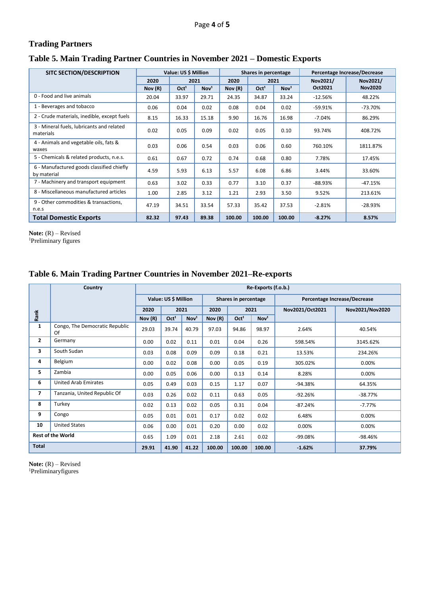## **Trading Partners**

#### **Table 5. Main Trading Partner Countries in November 2021 – Domestic Exports**

| <b>SITC SECTION/DESCRIPTION</b>                          |        | Value: US \$ Million |                  |         | Shares in percentage |                  | Percentage Increase/Decrease |                |  |
|----------------------------------------------------------|--------|----------------------|------------------|---------|----------------------|------------------|------------------------------|----------------|--|
|                                                          | 2020   | 2021                 |                  | 2020    |                      | 2021             | Nov2021/                     | Nov2021/       |  |
|                                                          | Nov(R) | Oct <sup>1</sup>     | Nov <sup>1</sup> | Nov (R) | Oct <sup>1</sup>     | Nov <sup>1</sup> | Oct2021                      | <b>Nov2020</b> |  |
| 0 - Food and live animals                                | 20.04  | 33.97                | 29.71            | 24.35   | 34.87                | 33.24            | $-12.56%$                    | 48.22%         |  |
| 1 - Beverages and tobacco                                | 0.06   | 0.04                 | 0.02             | 0.08    | 0.04                 | 0.02             | $-59.91%$                    | $-73.70%$      |  |
| 2 - Crude materials, inedible, except fuels              | 8.15   | 16.33                | 15.18            | 9.90    | 16.76                | 16.98            | $-7.04%$                     | 86.29%         |  |
| 3 - Mineral fuels, lubricants and related<br>materials   | 0.02   | 0.05                 | 0.09             | 0.02    | 0.05                 | 0.10             | 93.74%                       | 408.72%        |  |
| 4 - Animals and vegetable oils, fats &<br>waxes          | 0.03   | 0.06                 | 0.54             | 0.03    | 0.06                 | 0.60             | 760.10%                      | 1811.87%       |  |
| 5 - Chemicals & related products, n.e.s.                 | 0.61   | 0.67                 | 0.72             | 0.74    | 0.68                 | 0.80             | 7.78%                        | 17.45%         |  |
| 6 - Manufactured goods classified chiefly<br>by material | 4.59   | 5.93                 | 6.13             | 5.57    | 6.08                 | 6.86             | 3.44%                        | 33.60%         |  |
| 7 - Machinery and transport equipment                    | 0.63   | 3.02                 | 0.33             | 0.77    | 3.10                 | 0.37             | $-88.93%$                    | $-47.15%$      |  |
| 8 - Miscellaneous manufactured articles                  | 1.00   | 2.85                 | 3.12             | 1.21    | 2.93                 | 3.50             | 9.52%                        | 213.61%        |  |
| 9 - Other commodities & transactions,<br>n.e.s           | 47.19  | 34.51                | 33.54            | 57.33   | 35.42                | 37.53            | $-2.81%$                     | $-28.93%$      |  |
| <b>Total Domestic Exports</b>                            | 82.32  | 97.43                | 89.38            | 100.00  | 100.00               | 100.00           | $-8.27%$                     | 8.57%          |  |

Note:  $(R)$  – Revised <sup>1</sup>Preliminary figures

#### **Table 6. Main Trading Partner Countries in November 2021–Re-exports**

|                          | Country                              |        |                      |                  |        |                      | Re-Exports (f.o.b.) |                              |                 |  |  |
|--------------------------|--------------------------------------|--------|----------------------|------------------|--------|----------------------|---------------------|------------------------------|-----------------|--|--|
|                          |                                      |        | Value: US \$ Million |                  |        | Shares in percentage |                     | Percentage Increase/Decrease |                 |  |  |
|                          |                                      | 2020   |                      | 2021             | 2020   | 2021                 |                     | Nov2021/Oct2021              | Nov2021/Nov2020 |  |  |
| Rank                     |                                      | Nov(R) | Oct <sup>1</sup>     | Nov <sup>1</sup> | Nov(R) | Oct <sup>1</sup>     | Nov <sup>1</sup>    |                              |                 |  |  |
| $\mathbf{1}$             | Congo, The Democratic Republic<br>Of | 29.03  | 39.74                | 40.79            | 97.03  | 94.86                | 98.97               | 2.64%                        | 40.54%          |  |  |
| $\mathbf{2}$             | Germany                              | 0.00   | 0.02                 | 0.11             | 0.01   | 0.04                 | 0.26                | 598.54%                      | 3145.62%        |  |  |
| 3                        | South Sudan                          | 0.03   | 0.08                 | 0.09             | 0.09   | 0.18                 | 0.21                | 13.53%                       | 234.26%         |  |  |
| 4                        | Belgium                              | 0.00   | 0.02                 | 0.08             | 0.00   | 0.05                 | 0.19                | 305.02%                      | 0.00%           |  |  |
| 5                        | Zambia                               | 0.00   | 0.05                 | 0.06             | 0.00   | 0.13                 | 0.14                | 8.28%                        | 0.00%           |  |  |
| 6                        | <b>United Arab Emirates</b>          | 0.05   | 0.49                 | 0.03             | 0.15   | 1.17                 | 0.07                | $-94.38%$                    | 64.35%          |  |  |
| $\overline{\phantom{a}}$ | Tanzania, United Republic Of         | 0.03   | 0.26                 | 0.02             | 0.11   | 0.63                 | 0.05                | $-92.26%$                    | $-38.77%$       |  |  |
| 8                        | Turkey                               | 0.02   | 0.13                 | 0.02             | 0.05   | 0.31                 | 0.04                | $-87.24%$                    | $-7.77%$        |  |  |
| 9                        | Congo                                | 0.05   | 0.01                 | 0.01             | 0.17   | 0.02                 | 0.02                | 6.48%                        | 0.00%           |  |  |
| 10                       | <b>United States</b>                 | 0.06   | 0.00                 | 0.01             | 0.20   | 0.00                 | 0.02                | 0.00%                        | 0.00%           |  |  |
|                          | <b>Rest of the World</b>             | 0.65   | 1.09                 | 0.01             | 2.18   | 2.61                 | 0.02                | $-99.08%$                    | $-98.46%$       |  |  |
| <b>Total</b>             |                                      | 29.91  | 41.90                | 41.22            | 100.00 | 100.00               | 100.00              | $-1.62%$                     | 37.79%          |  |  |

Note:  $(R)$  – Revised 1Preliminaryfigures